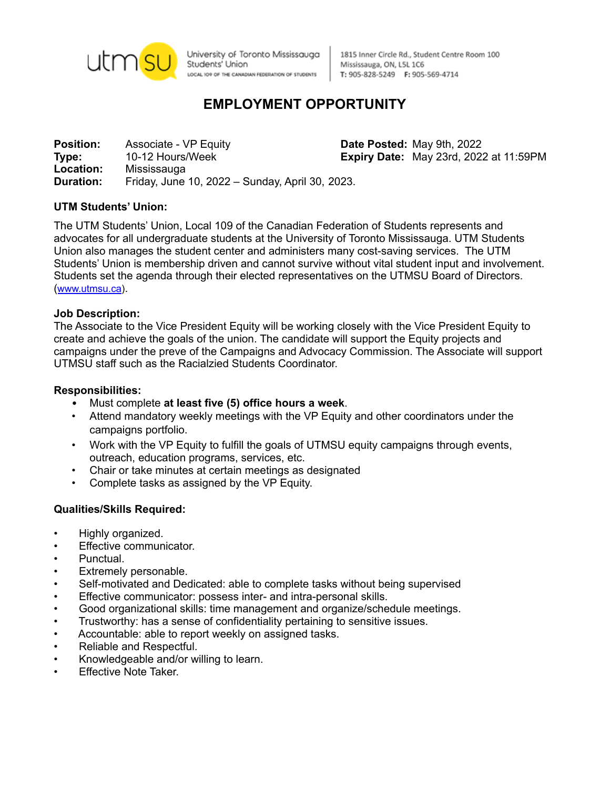

University of Toronto Mississauga Students' Union LOCAL IO9 OF THE CANADIAN FEDERATION OF STUDENTS

1815 Inner Circle Rd., Student Centre Room 100 Mississauga, ON, L5L 1C6 T: 905-828-5249 F: 905-569-4714

# **EMPLOYMENT OPPORTUNITY**

**Position:** Associate - VP Equity **Date Posted:** May 9th, 2022 **Type:** 10-12 Hours/Week **Expiry Date:** May 23rd, 2022 at 11:59PM **Location:** Mississauga **Duration:** Friday, June 10, 2022 – Sunday, April 30, 2023.

### **UTM Students' Union:**

The UTM Students' Union, Local 109 of the Canadian Federation of Students represents and advocates for all undergraduate students at the University of Toronto Mississauga. UTM Students Union also manages the student center and administers many cost-saving services. The UTM Students' Union is membership driven and cannot survive without vital student input and involvement. Students set the agenda through their elected representatives on the UTMSU Board of Directors. ([www.utmsu.ca](http://www.utmsu.ca)).

#### **Job Description:**

The Associate to the Vice President Equity will be working closely with the Vice President Equity to create and achieve the goals of the union. The candidate will support the Equity projects and campaigns under the preve of the Campaigns and Advocacy Commission. The Associate will support UTMSU staff such as the Racialzied Students Coordinator.

#### **Responsibilities:**

- Must complete **at least five (5) office hours a week**.
- Attend mandatory weekly meetings with the VP Equity and other coordinators under the campaigns portfolio.
- Work with the VP Equity to fulfill the goals of UTMSU equity campaigns through events, outreach, education programs, services, etc.
- Chair or take minutes at certain meetings as designated
- Complete tasks as assigned by the VP Equity.

### **Qualities/Skills Required:**

- Highly organized.
- Effective communicator.
- Punctual.
- Extremely personable.
- Self-motivated and Dedicated: able to complete tasks without being supervised
- Effective communicator: possess inter- and intra-personal skills.
- Good organizational skills: time management and organize/schedule meetings.
- Trustworthy: has a sense of confidentiality pertaining to sensitive issues.
- Accountable: able to report weekly on assigned tasks.
- Reliable and Respectful.
- Knowledgeable and/or willing to learn.
- Effective Note Taker.